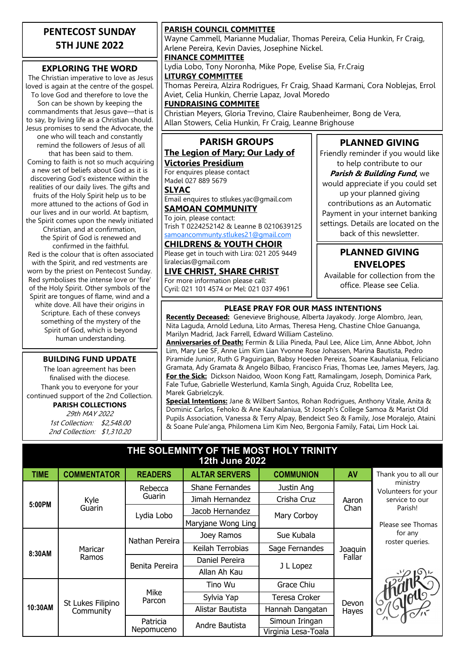#### **PENTECOST SUNDAY 5TH JUNE 2022**

#### **EXPLORING THE WORD**

The Christian imperative to love as Jesus loved is again at the centre of the gospel. To love God and therefore to love the Son can be shown by keeping the commandments that Jesus gave—that is to say, by living life as a Christian should. Jesus promises to send the Advocate, the one who will teach and constantly remind the followers of Jesus of all that has been said to them. Coming to faith is not so much acquiring a new set of beliefs about God as it is discovering God's existence within the realities of our daily lives. The gifts and fruits of the Holy Spirit help us to be more attuned to the actions of God in our lives and in our world. At baptism, the Spirit comes upon the newly initiated Christian, and at confirmation, the Spirit of God is renewed and confirmed in the faithful. Red is the colour that is often associated with the Spirit, and red vestments are worn by the priest on Pentecost Sunday.

Red symbolises the intense love or 'fire' of the Holy Spirit. Other symbols of the Spirit are tongues of flame, wind and a white dove. All have their origins in Scripture. Each of these conveys something of the mystery of the Spirit of God, which is beyond human understanding.

#### **BUILDING FUND UPDATE**

The loan agreement has been finalised with the diocese. Thank you to everyone for your continued support of the 2nd Collection. **PARISH COLLECTIONS** 29th MAY 2022

1st Collection: \$2,548.00 2nd Collection: \$1,310.20

#### **PARISH COUNCIL COMMITTEE**

Wayne Cammell, Marianne Mudaliar, Thomas Pereira, Celia Hunkin, Fr Craig, Arlene Pereira, Kevin Davies, Josephine Nickel.

#### **FINANCE COMMITTEE**

Lydia Lobo, Tony Noronha, Mike Pope, Evelise Sia, Fr.Craig **LITURGY COMMITTEE**

Thomas Pereira, Alzira Rodrigues, Fr Craig, Shaad Karmani, Cora Noblejas, Errol Aviet, Celia Hunkin, Cherrie Lapaz, Joval Moredo

#### **FUNDRAISING COMMITEE**

Christian Meyers, Gloria Trevino, Claire Raubenheimer, Bong de Vera, Allan Stowers, Celia Hunkin, Fr Craig, Leanne Brighouse

## **PARISH GROUPS**

#### **The Legion of Mary; Our Lady of Victories Presidium**

For enquires please contact Madel 027 889 5679

**SLYAC**

Email enquires to stlukes.yac@gmail.com **SAMOAN COMMUNITY**

To join, please contact: Trish T 0224252142 & Leanne B 0210639125 [samoancommunty.stlukes21@gmail.com](mailto:samoancommunity.stlukes21@gmail.com)

#### **CHILDRENS & YOUTH CHOIR**

Please get in touch with Lira: 021 205 9449 liralecias@gmail.com

**LIVE CHRIST, SHARE CHRIST** For more information please call: Cyril: 021 101 4574 or Mel: 021 037 4961

#### **PLANNED GIVING** Friendly reminder if you would like

to help contribute to our **Parish & Building Fund,** we would appreciate if you could set up your planned giving contributions as an Automatic Payment in your internet banking settings. Details are located on the back of this newsletter.

#### **PLANNED GIVING ENVELOPES**

Available for collection from the office. Please see Celia.

#### **PLEASE PRAY FOR OUR MASS INTENTIONS**

**Recently Deceased:** Genevieve Brighouse, Alberta Jayakody. Jorge Alombro, Jean, Nita Laguda, Arnold Leduna, Lito Armas, Theresa Heng, Chastine Chloe Ganuanga, Marilyn Madrid, Jack Farrell, Edward William Castelino.

**Anniversaries of Death:** Fermin & Lilia Pineda, Paul Lee, Alice Lim, Anne Abbot, John Lim, Mary Lee SF, Anne Lim Kim Lian Yvonne Rose Johassen, Marina Bautista, Pedro Piramide Junior, Ruth G Paguirigan, Babsy Hoeden Pereira, Soane Kauhalaniua, Feliciano Gramata, Ady Gramata & Angelo Bilbao, Francisco Frias, Thomas Lee, James Meyers, Jag. **For the Sick:** Dickson Naidoo, Woon Kong Fatt, Ramalingam, Joseph, Dominica Park, Fale Tufue, Gabrielle Westerlund, Kamla Singh, Aguida Cruz, Robellta Lee, Marek Gabrielczyk.

**Special Intentions:** Jane & Wilbert Santos, Rohan Rodrigues, Anthony Vitale, Anita & Dominic Carlos, Fehoko & Ane Kauhalaniua, St Joseph's College Samoa & Marist Old Pupils Association, Vanessa & Terry Alpay, Bendeict Seo & Family, Jose Moralejo, Ataini & Soane Pule'anga, Philomena Lim Kim Neo, Bergonia Family, Fatai, Lim Hock Lai.

#### **THE SOLEMNITY OF THE MOST HOLY TRINITY 12th June 2022**

| <b>TIME</b> | <b>COMMENTATOR</b>             | <b>READERS</b>         | <b>ALTAR SERVERS</b> | <b>COMMUNION</b>    | <b>AV</b>         | Thank you to all our            |
|-------------|--------------------------------|------------------------|----------------------|---------------------|-------------------|---------------------------------|
| 5:00PM      | Kyle<br>Guarin                 | Rebecca<br>Guarin      | Shane Fernandes      | Justin Ang          | Aaron<br>Chan     | ministry<br>Volunteers for your |
|             |                                |                        | Jimah Hernandez      | Crisha Cruz         |                   | service to our<br>Parish!       |
|             |                                | Lydia Lobo             | Jacob Hernandez      | Mary Corboy         |                   |                                 |
|             |                                |                        | Maryjane Wong Ling   |                     |                   | Please see Thomas               |
| 8:30AM      | Maricar<br>Ramos               | Nathan Pereira         | Joey Ramos           | Sue Kubala          | Joaquin<br>Fallar | for any<br>roster queries.      |
|             |                                |                        | Keilah Terrobias     | Sage Fernandes      |                   |                                 |
|             |                                | Benita Pereira         | Daniel Pereira       | J L Lopez           |                   |                                 |
|             |                                |                        | Allan Ah Kau         |                     |                   |                                 |
| 10:30AM     | St Lukes Filipino<br>Community | Mike<br>Parcon         | Tino Wu              | Grace Chiu          | Devon<br>Hayes    | I Shalous                       |
|             |                                |                        | Sylvia Yap           | Teresa Croker       |                   |                                 |
|             |                                |                        | Alistar Bautista     | Hannah Dangatan     |                   |                                 |
|             |                                | Patricia<br>Nepomuceno | Andre Bautista       | Simoun Iringan      |                   |                                 |
|             |                                |                        |                      | Virginia Lesa-Toala |                   |                                 |